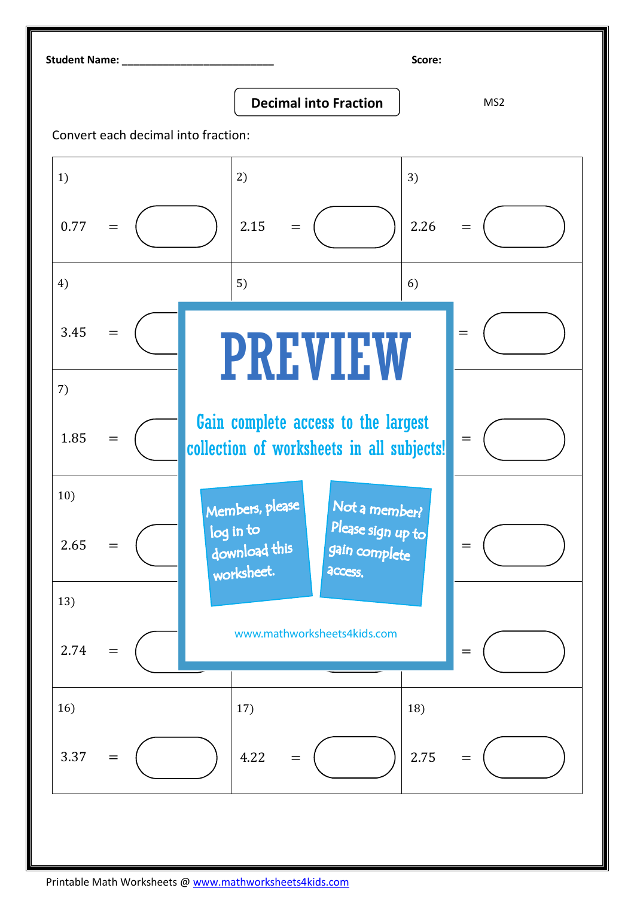